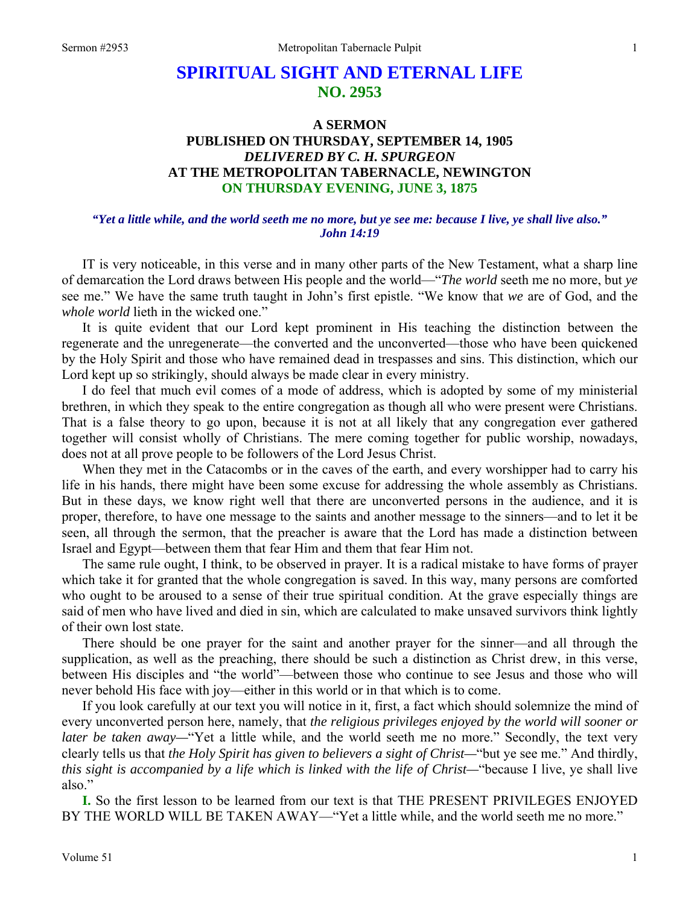# **SPIRITUAL SIGHT AND ETERNAL LIFE NO. 2953**

# **A SERMON PUBLISHED ON THURSDAY, SEPTEMBER 14, 1905**  *DELIVERED BY C. H. SPURGEON*  **AT THE METROPOLITAN TABERNACLE, NEWINGTON ON THURSDAY EVENING, JUNE 3, 1875**

#### *"Yet a little while, and the world seeth me no more, but ye see me: because I live, ye shall live also." John 14:19*

 IT is very noticeable, in this verse and in many other parts of the New Testament, what a sharp line of demarcation the Lord draws between His people and the world—"*The world* seeth me no more, but *ye*  see me." We have the same truth taught in John's first epistle. "We know that *we* are of God, and the *whole world* lieth in the wicked one."

 It is quite evident that our Lord kept prominent in His teaching the distinction between the regenerate and the unregenerate—the converted and the unconverted—those who have been quickened by the Holy Spirit and those who have remained dead in trespasses and sins. This distinction, which our Lord kept up so strikingly, should always be made clear in every ministry.

 I do feel that much evil comes of a mode of address, which is adopted by some of my ministerial brethren, in which they speak to the entire congregation as though all who were present were Christians. That is a false theory to go upon, because it is not at all likely that any congregation ever gathered together will consist wholly of Christians. The mere coming together for public worship, nowadays, does not at all prove people to be followers of the Lord Jesus Christ.

 When they met in the Catacombs or in the caves of the earth, and every worshipper had to carry his life in his hands, there might have been some excuse for addressing the whole assembly as Christians. But in these days, we know right well that there are unconverted persons in the audience, and it is proper, therefore, to have one message to the saints and another message to the sinners—and to let it be seen, all through the sermon, that the preacher is aware that the Lord has made a distinction between Israel and Egypt—between them that fear Him and them that fear Him not.

 The same rule ought, I think, to be observed in prayer. It is a radical mistake to have forms of prayer which take it for granted that the whole congregation is saved. In this way, many persons are comforted who ought to be aroused to a sense of their true spiritual condition. At the grave especially things are said of men who have lived and died in sin, which are calculated to make unsaved survivors think lightly of their own lost state.

 There should be one prayer for the saint and another prayer for the sinner—and all through the supplication, as well as the preaching, there should be such a distinction as Christ drew, in this verse, between His disciples and "the world"—between those who continue to see Jesus and those who will never behold His face with joy—either in this world or in that which is to come.

 If you look carefully at our text you will notice in it, first, a fact which should solemnize the mind of every unconverted person here, namely, that *the religious privileges enjoyed by the world will sooner or later be taken away*—"Yet a little while, and the world seeth me no more." Secondly, the text very clearly tells us that *the Holy Spirit has given to believers a sight of Christ—*"but ye see me." And thirdly, *this sight is accompanied by a life which is linked with the life of Christ—*"because I live, ye shall live also."

**I.** So the first lesson to be learned from our text is that THE PRESENT PRIVILEGES ENJOYED BY THE WORLD WILL BE TAKEN AWAY—"Yet a little while, and the world seeth me no more."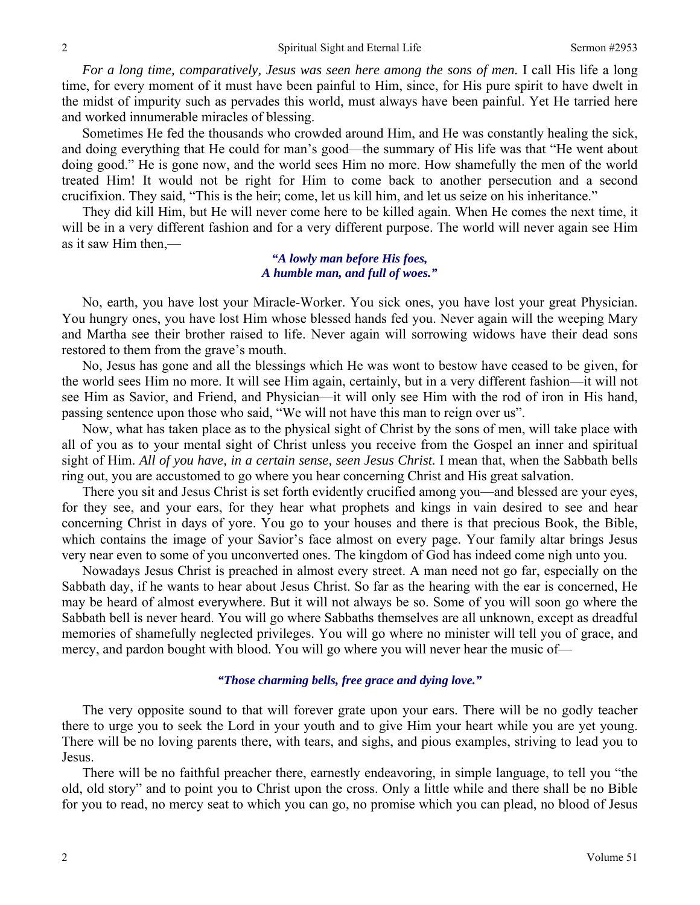*For a long time, comparatively, Jesus was seen here among the sons of men.* I call His life a long time, for every moment of it must have been painful to Him, since, for His pure spirit to have dwelt in the midst of impurity such as pervades this world, must always have been painful. Yet He tarried here and worked innumerable miracles of blessing.

 Sometimes He fed the thousands who crowded around Him, and He was constantly healing the sick, and doing everything that He could for man's good—the summary of His life was that "He went about doing good." He is gone now, and the world sees Him no more. How shamefully the men of the world treated Him! It would not be right for Him to come back to another persecution and a second crucifixion. They said, "This is the heir; come, let us kill him, and let us seize on his inheritance."

 They did kill Him, but He will never come here to be killed again. When He comes the next time, it will be in a very different fashion and for a very different purpose. The world will never again see Him as it saw Him then,—

#### *"A lowly man before His foes, A humble man, and full of woes."*

 No, earth, you have lost your Miracle-Worker. You sick ones, you have lost your great Physician. You hungry ones, you have lost Him whose blessed hands fed you. Never again will the weeping Mary and Martha see their brother raised to life. Never again will sorrowing widows have their dead sons restored to them from the grave's mouth.

 No, Jesus has gone and all the blessings which He was wont to bestow have ceased to be given, for the world sees Him no more. It will see Him again, certainly, but in a very different fashion—it will not see Him as Savior, and Friend, and Physician—it will only see Him with the rod of iron in His hand, passing sentence upon those who said, "We will not have this man to reign over us".

 Now, what has taken place as to the physical sight of Christ by the sons of men, will take place with all of you as to your mental sight of Christ unless you receive from the Gospel an inner and spiritual sight of Him. *All of you have, in a certain sense, seen Jesus Christ*. I mean that, when the Sabbath bells ring out, you are accustomed to go where you hear concerning Christ and His great salvation.

 There you sit and Jesus Christ is set forth evidently crucified among you—and blessed are your eyes, for they see, and your ears, for they hear what prophets and kings in vain desired to see and hear concerning Christ in days of yore. You go to your houses and there is that precious Book, the Bible, which contains the image of your Savior's face almost on every page. Your family altar brings Jesus very near even to some of you unconverted ones. The kingdom of God has indeed come nigh unto you.

 Nowadays Jesus Christ is preached in almost every street. A man need not go far, especially on the Sabbath day, if he wants to hear about Jesus Christ. So far as the hearing with the ear is concerned, He may be heard of almost everywhere. But it will not always be so. Some of you will soon go where the Sabbath bell is never heard. You will go where Sabbaths themselves are all unknown, except as dreadful memories of shamefully neglected privileges. You will go where no minister will tell you of grace, and mercy, and pardon bought with blood. You will go where you will never hear the music of—

#### *"Those charming bells, free grace and dying love."*

 The very opposite sound to that will forever grate upon your ears. There will be no godly teacher there to urge you to seek the Lord in your youth and to give Him your heart while you are yet young. There will be no loving parents there, with tears, and sighs, and pious examples, striving to lead you to Jesus.

 There will be no faithful preacher there, earnestly endeavoring, in simple language, to tell you "the old, old story" and to point you to Christ upon the cross. Only a little while and there shall be no Bible for you to read, no mercy seat to which you can go, no promise which you can plead, no blood of Jesus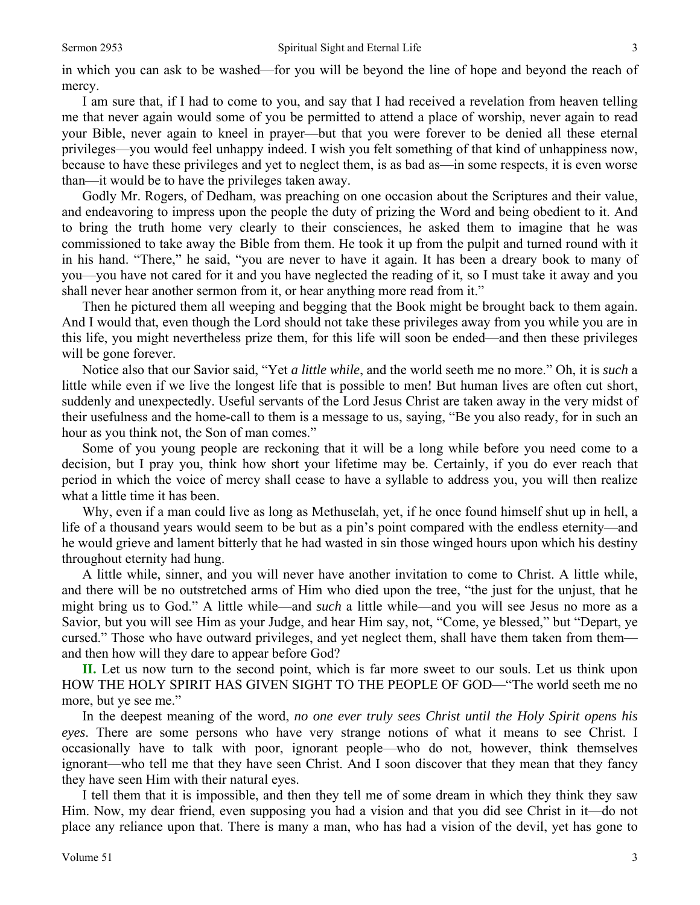in which you can ask to be washed—for you will be beyond the line of hope and beyond the reach of mercy.

 I am sure that, if I had to come to you, and say that I had received a revelation from heaven telling me that never again would some of you be permitted to attend a place of worship, never again to read your Bible, never again to kneel in prayer—but that you were forever to be denied all these eternal privileges—you would feel unhappy indeed. I wish you felt something of that kind of unhappiness now, because to have these privileges and yet to neglect them, is as bad as—in some respects, it is even worse than—it would be to have the privileges taken away.

 Godly Mr. Rogers, of Dedham, was preaching on one occasion about the Scriptures and their value, and endeavoring to impress upon the people the duty of prizing the Word and being obedient to it. And to bring the truth home very clearly to their consciences, he asked them to imagine that he was commissioned to take away the Bible from them. He took it up from the pulpit and turned round with it in his hand. "There," he said, "you are never to have it again. It has been a dreary book to many of you—you have not cared for it and you have neglected the reading of it, so I must take it away and you shall never hear another sermon from it, or hear anything more read from it."

 Then he pictured them all weeping and begging that the Book might be brought back to them again. And I would that, even though the Lord should not take these privileges away from you while you are in this life, you might nevertheless prize them, for this life will soon be ended—and then these privileges will be gone forever.

 Notice also that our Savior said, "Yet *a little while*, and the world seeth me no more." Oh, it is *such* a little while even if we live the longest life that is possible to men! But human lives are often cut short, suddenly and unexpectedly. Useful servants of the Lord Jesus Christ are taken away in the very midst of their usefulness and the home-call to them is a message to us, saying, "Be you also ready, for in such an hour as you think not, the Son of man comes."

 Some of you young people are reckoning that it will be a long while before you need come to a decision, but I pray you, think how short your lifetime may be. Certainly, if you do ever reach that period in which the voice of mercy shall cease to have a syllable to address you, you will then realize what a little time it has been.

 Why, even if a man could live as long as Methuselah, yet, if he once found himself shut up in hell, a life of a thousand years would seem to be but as a pin's point compared with the endless eternity—and he would grieve and lament bitterly that he had wasted in sin those winged hours upon which his destiny throughout eternity had hung.

 A little while, sinner, and you will never have another invitation to come to Christ. A little while, and there will be no outstretched arms of Him who died upon the tree, "the just for the unjust, that he might bring us to God." A little while—and *such* a little while—and you will see Jesus no more as a Savior, but you will see Him as your Judge, and hear Him say, not, "Come, ye blessed," but "Depart, ye cursed." Those who have outward privileges, and yet neglect them, shall have them taken from them and then how will they dare to appear before God?

**II.** Let us now turn to the second point, which is far more sweet to our souls. Let us think upon HOW THE HOLY SPIRIT HAS GIVEN SIGHT TO THE PEOPLE OF GOD—"The world seeth me no more, but ye see me."

 In the deepest meaning of the word, *no one ever truly sees Christ until the Holy Spirit opens his eyes*. There are some persons who have very strange notions of what it means to see Christ. I occasionally have to talk with poor, ignorant people—who do not, however, think themselves ignorant—who tell me that they have seen Christ. And I soon discover that they mean that they fancy they have seen Him with their natural eyes.

 I tell them that it is impossible, and then they tell me of some dream in which they think they saw Him. Now, my dear friend, even supposing you had a vision and that you did see Christ in it—do not place any reliance upon that. There is many a man, who has had a vision of the devil, yet has gone to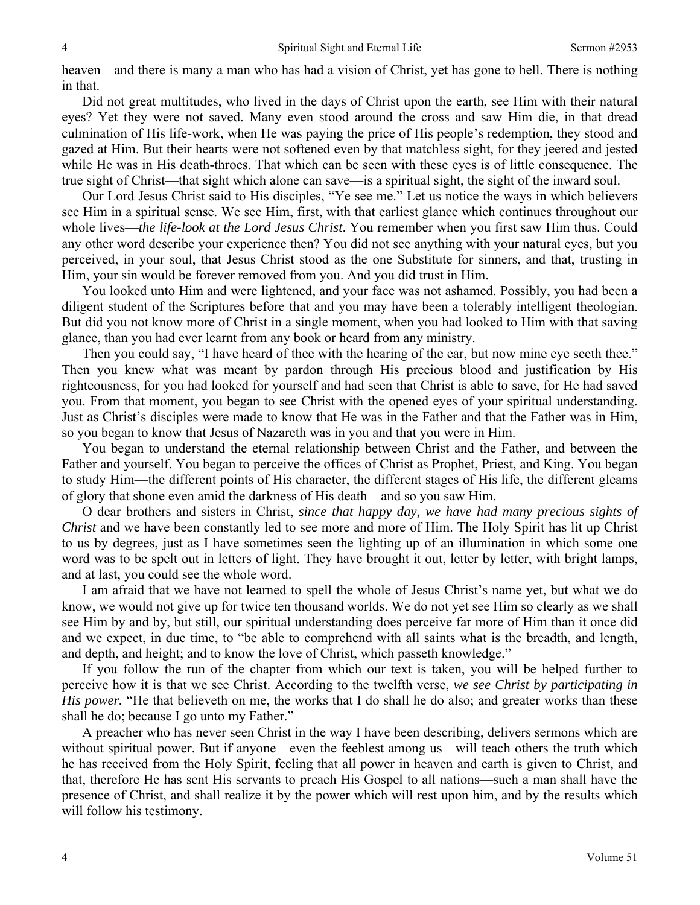heaven—and there is many a man who has had a vision of Christ, yet has gone to hell. There is nothing in that.

 Did not great multitudes, who lived in the days of Christ upon the earth, see Him with their natural eyes? Yet they were not saved. Many even stood around the cross and saw Him die, in that dread culmination of His life-work, when He was paying the price of His people's redemption, they stood and gazed at Him. But their hearts were not softened even by that matchless sight, for they jeered and jested while He was in His death-throes. That which can be seen with these eyes is of little consequence. The true sight of Christ—that sight which alone can save—is a spiritual sight, the sight of the inward soul.

 Our Lord Jesus Christ said to His disciples, "Ye see me." Let us notice the ways in which believers see Him in a spiritual sense. We see Him, first, with that earliest glance which continues throughout our whole lives—*the life-look at the Lord Jesus Christ*. You remember when you first saw Him thus. Could any other word describe your experience then? You did not see anything with your natural eyes, but you perceived, in your soul, that Jesus Christ stood as the one Substitute for sinners, and that, trusting in Him, your sin would be forever removed from you. And you did trust in Him.

 You looked unto Him and were lightened, and your face was not ashamed. Possibly, you had been a diligent student of the Scriptures before that and you may have been a tolerably intelligent theologian. But did you not know more of Christ in a single moment, when you had looked to Him with that saving glance, than you had ever learnt from any book or heard from any ministry.

 Then you could say, "I have heard of thee with the hearing of the ear, but now mine eye seeth thee." Then you knew what was meant by pardon through His precious blood and justification by His righteousness, for you had looked for yourself and had seen that Christ is able to save, for He had saved you. From that moment, you began to see Christ with the opened eyes of your spiritual understanding. Just as Christ's disciples were made to know that He was in the Father and that the Father was in Him, so you began to know that Jesus of Nazareth was in you and that you were in Him.

 You began to understand the eternal relationship between Christ and the Father, and between the Father and yourself. You began to perceive the offices of Christ as Prophet, Priest, and King. You began to study Him—the different points of His character, the different stages of His life, the different gleams of glory that shone even amid the darkness of His death—and so you saw Him.

 O dear brothers and sisters in Christ, *since that happy day, we have had many precious sights of Christ* and we have been constantly led to see more and more of Him. The Holy Spirit has lit up Christ to us by degrees, just as I have sometimes seen the lighting up of an illumination in which some one word was to be spelt out in letters of light. They have brought it out, letter by letter, with bright lamps, and at last, you could see the whole word.

 I am afraid that we have not learned to spell the whole of Jesus Christ's name yet, but what we do know, we would not give up for twice ten thousand worlds. We do not yet see Him so clearly as we shall see Him by and by, but still, our spiritual understanding does perceive far more of Him than it once did and we expect, in due time, to "be able to comprehend with all saints what is the breadth, and length, and depth, and height; and to know the love of Christ, which passeth knowledge."

 If you follow the run of the chapter from which our text is taken, you will be helped further to perceive how it is that we see Christ. According to the twelfth verse, *we see Christ by participating in His power*. "He that believeth on me, the works that I do shall he do also; and greater works than these shall he do; because I go unto my Father."

 A preacher who has never seen Christ in the way I have been describing, delivers sermons which are without spiritual power. But if anyone—even the feeblest among us—will teach others the truth which he has received from the Holy Spirit, feeling that all power in heaven and earth is given to Christ, and that, therefore He has sent His servants to preach His Gospel to all nations—such a man shall have the presence of Christ, and shall realize it by the power which will rest upon him, and by the results which will follow his testimony.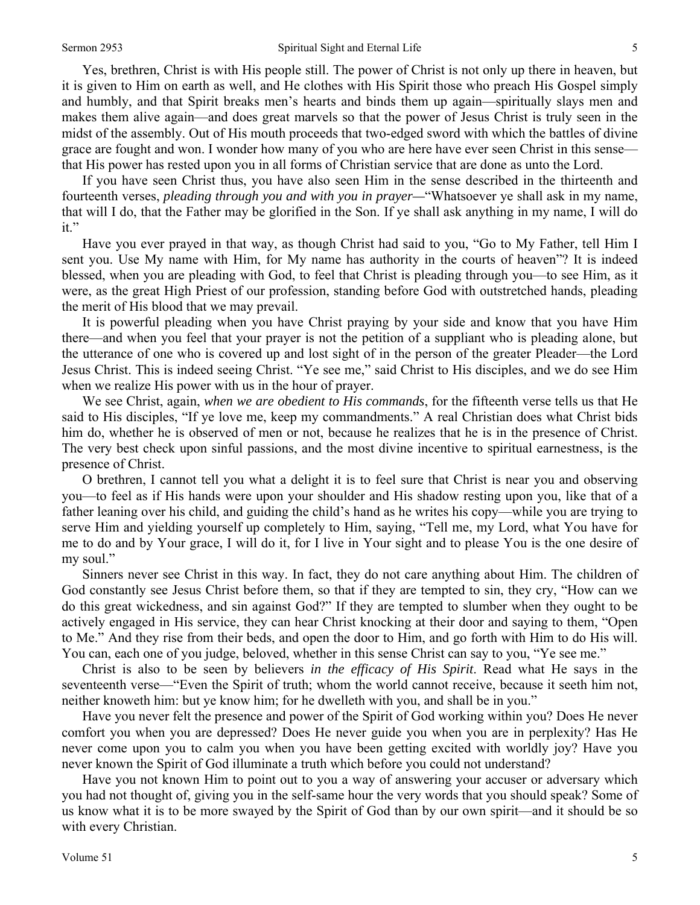Yes, brethren, Christ is with His people still. The power of Christ is not only up there in heaven, but it is given to Him on earth as well, and He clothes with His Spirit those who preach His Gospel simply and humbly, and that Spirit breaks men's hearts and binds them up again—spiritually slays men and makes them alive again—and does great marvels so that the power of Jesus Christ is truly seen in the midst of the assembly. Out of His mouth proceeds that two-edged sword with which the battles of divine grace are fought and won. I wonder how many of you who are here have ever seen Christ in this sense that His power has rested upon you in all forms of Christian service that are done as unto the Lord.

 If you have seen Christ thus, you have also seen Him in the sense described in the thirteenth and fourteenth verses, *pleading through you and with you in prayer—*"Whatsoever ye shall ask in my name, that will I do, that the Father may be glorified in the Son. If ye shall ask anything in my name, I will do it."

 Have you ever prayed in that way, as though Christ had said to you, "Go to My Father, tell Him I sent you. Use My name with Him, for My name has authority in the courts of heaven"? It is indeed blessed, when you are pleading with God, to feel that Christ is pleading through you—to see Him, as it were, as the great High Priest of our profession, standing before God with outstretched hands, pleading the merit of His blood that we may prevail.

 It is powerful pleading when you have Christ praying by your side and know that you have Him there—and when you feel that your prayer is not the petition of a suppliant who is pleading alone, but the utterance of one who is covered up and lost sight of in the person of the greater Pleader—the Lord Jesus Christ. This is indeed seeing Christ. "Ye see me," said Christ to His disciples, and we do see Him when we realize His power with us in the hour of prayer.

 We see Christ, again, *when we are obedient to His commands*, for the fifteenth verse tells us that He said to His disciples, "If ye love me, keep my commandments." A real Christian does what Christ bids him do, whether he is observed of men or not, because he realizes that he is in the presence of Christ. The very best check upon sinful passions, and the most divine incentive to spiritual earnestness, is the presence of Christ.

 O brethren, I cannot tell you what a delight it is to feel sure that Christ is near you and observing you—to feel as if His hands were upon your shoulder and His shadow resting upon you, like that of a father leaning over his child, and guiding the child's hand as he writes his copy—while you are trying to serve Him and yielding yourself up completely to Him, saying, "Tell me, my Lord, what You have for me to do and by Your grace, I will do it, for I live in Your sight and to please You is the one desire of my soul."

 Sinners never see Christ in this way. In fact, they do not care anything about Him. The children of God constantly see Jesus Christ before them, so that if they are tempted to sin, they cry, "How can we do this great wickedness, and sin against God?" If they are tempted to slumber when they ought to be actively engaged in His service, they can hear Christ knocking at their door and saying to them, "Open to Me." And they rise from their beds, and open the door to Him, and go forth with Him to do His will. You can, each one of you judge, beloved, whether in this sense Christ can say to you, "Ye see me."

 Christ is also to be seen by believers *in the efficacy of His Spirit*. Read what He says in the seventeenth verse—"Even the Spirit of truth; whom the world cannot receive, because it seeth him not, neither knoweth him: but ye know him; for he dwelleth with you, and shall be in you."

 Have you never felt the presence and power of the Spirit of God working within you? Does He never comfort you when you are depressed? Does He never guide you when you are in perplexity? Has He never come upon you to calm you when you have been getting excited with worldly joy? Have you never known the Spirit of God illuminate a truth which before you could not understand?

 Have you not known Him to point out to you a way of answering your accuser or adversary which you had not thought of, giving you in the self-same hour the very words that you should speak? Some of us know what it is to be more swayed by the Spirit of God than by our own spirit—and it should be so with every Christian.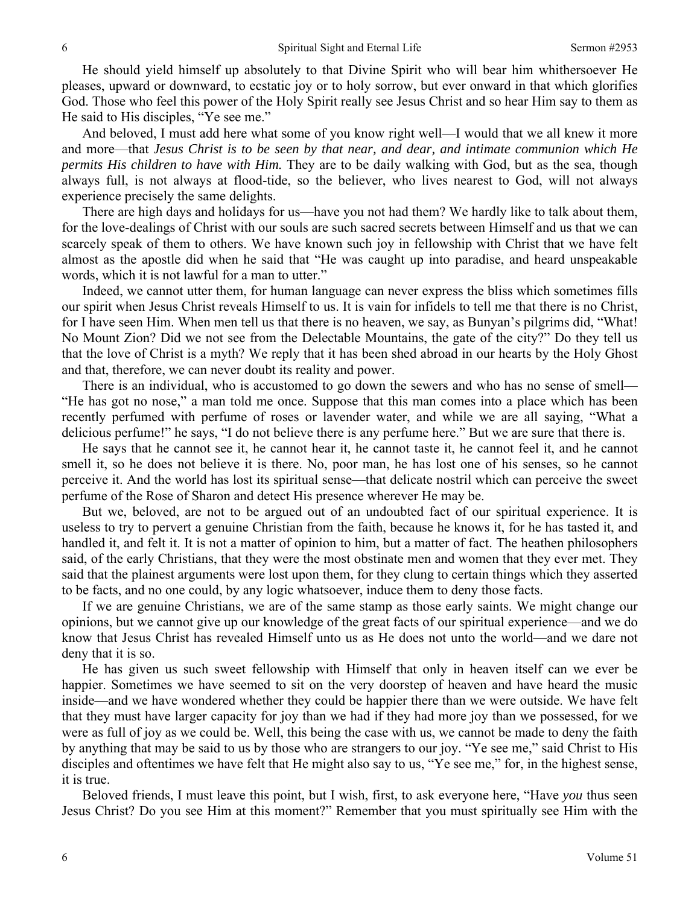He should yield himself up absolutely to that Divine Spirit who will bear him whithersoever He pleases, upward or downward, to ecstatic joy or to holy sorrow, but ever onward in that which glorifies God. Those who feel this power of the Holy Spirit really see Jesus Christ and so hear Him say to them as He said to His disciples, "Ye see me."

 And beloved, I must add here what some of you know right well—I would that we all knew it more and more—that *Jesus Christ is to be seen by that near, and dear, and intimate communion which He permits His children to have with Him.* They are to be daily walking with God, but as the sea, though always full, is not always at flood-tide, so the believer, who lives nearest to God, will not always experience precisely the same delights.

 There are high days and holidays for us—have you not had them? We hardly like to talk about them, for the love-dealings of Christ with our souls are such sacred secrets between Himself and us that we can scarcely speak of them to others. We have known such joy in fellowship with Christ that we have felt almost as the apostle did when he said that "He was caught up into paradise, and heard unspeakable words, which it is not lawful for a man to utter."

 Indeed, we cannot utter them, for human language can never express the bliss which sometimes fills our spirit when Jesus Christ reveals Himself to us. It is vain for infidels to tell me that there is no Christ, for I have seen Him. When men tell us that there is no heaven, we say, as Bunyan's pilgrims did, "What! No Mount Zion? Did we not see from the Delectable Mountains, the gate of the city?" Do they tell us that the love of Christ is a myth? We reply that it has been shed abroad in our hearts by the Holy Ghost and that, therefore, we can never doubt its reality and power.

 There is an individual, who is accustomed to go down the sewers and who has no sense of smell— "He has got no nose," a man told me once. Suppose that this man comes into a place which has been recently perfumed with perfume of roses or lavender water, and while we are all saying, "What a delicious perfume!" he says, "I do not believe there is any perfume here." But we are sure that there is.

 He says that he cannot see it, he cannot hear it, he cannot taste it, he cannot feel it, and he cannot smell it, so he does not believe it is there. No, poor man, he has lost one of his senses, so he cannot perceive it. And the world has lost its spiritual sense—that delicate nostril which can perceive the sweet perfume of the Rose of Sharon and detect His presence wherever He may be.

 But we, beloved, are not to be argued out of an undoubted fact of our spiritual experience. It is useless to try to pervert a genuine Christian from the faith, because he knows it, for he has tasted it, and handled it, and felt it. It is not a matter of opinion to him, but a matter of fact. The heathen philosophers said, of the early Christians, that they were the most obstinate men and women that they ever met. They said that the plainest arguments were lost upon them, for they clung to certain things which they asserted to be facts, and no one could, by any logic whatsoever, induce them to deny those facts.

 If we are genuine Christians, we are of the same stamp as those early saints. We might change our opinions, but we cannot give up our knowledge of the great facts of our spiritual experience—and we do know that Jesus Christ has revealed Himself unto us as He does not unto the world—and we dare not deny that it is so.

 He has given us such sweet fellowship with Himself that only in heaven itself can we ever be happier. Sometimes we have seemed to sit on the very doorstep of heaven and have heard the music inside—and we have wondered whether they could be happier there than we were outside. We have felt that they must have larger capacity for joy than we had if they had more joy than we possessed, for we were as full of joy as we could be. Well, this being the case with us, we cannot be made to deny the faith by anything that may be said to us by those who are strangers to our joy. "Ye see me," said Christ to His disciples and oftentimes we have felt that He might also say to us, "Ye see me," for, in the highest sense, it is true.

 Beloved friends, I must leave this point, but I wish, first, to ask everyone here, "Have *you* thus seen Jesus Christ? Do you see Him at this moment?" Remember that you must spiritually see Him with the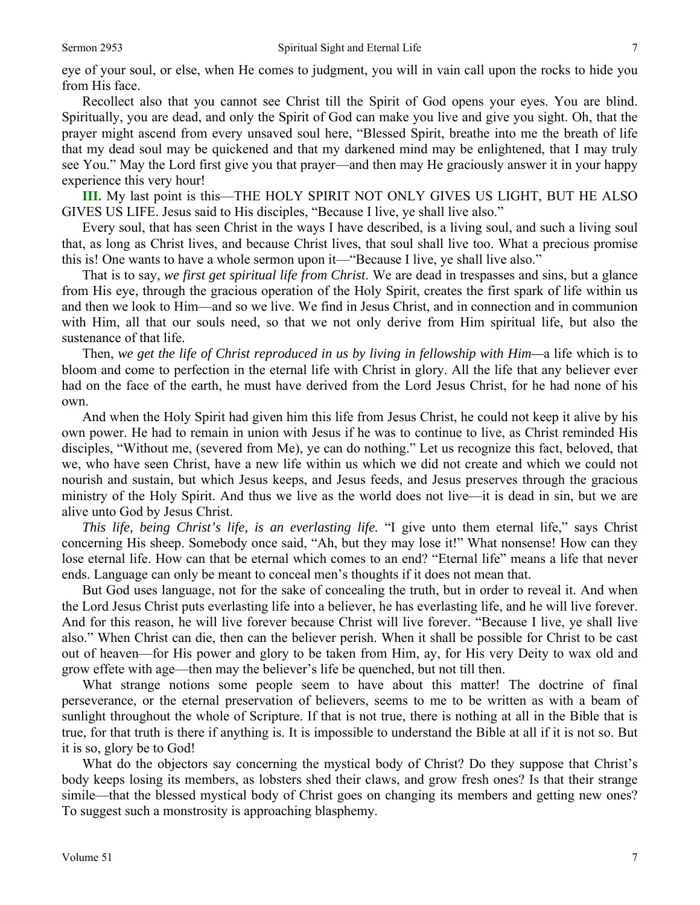eye of your soul, or else, when He comes to judgment, you will in vain call upon the rocks to hide you from His face.

 Recollect also that you cannot see Christ till the Spirit of God opens your eyes. You are blind. Spiritually, you are dead, and only the Spirit of God can make you live and give you sight. Oh, that the prayer might ascend from every unsaved soul here, "Blessed Spirit, breathe into me the breath of life that my dead soul may be quickened and that my darkened mind may be enlightened, that I may truly see You." May the Lord first give you that prayer—and then may He graciously answer it in your happy experience this very hour!

**III.** My last point is this—THE HOLY SPIRIT NOT ONLY GIVES US LIGHT, BUT HE ALSO GIVES US LIFE. Jesus said to His disciples, "Because I live, ye shall live also."

 Every soul, that has seen Christ in the ways I have described, is a living soul, and such a living soul that, as long as Christ lives, and because Christ lives, that soul shall live too. What a precious promise this is! One wants to have a whole sermon upon it—"Because I live, ye shall live also."

 That is to say, *we first get spiritual life from Christ*. We are dead in trespasses and sins, but a glance from His eye, through the gracious operation of the Holy Spirit, creates the first spark of life within us and then we look to Him—and so we live. We find in Jesus Christ, and in connection and in communion with Him, all that our souls need, so that we not only derive from Him spiritual life, but also the sustenance of that life.

 Then, *we get the life of Christ reproduced in us by living in fellowship with Him—*a life which is to bloom and come to perfection in the eternal life with Christ in glory. All the life that any believer ever had on the face of the earth, he must have derived from the Lord Jesus Christ, for he had none of his own.

 And when the Holy Spirit had given him this life from Jesus Christ, he could not keep it alive by his own power. He had to remain in union with Jesus if he was to continue to live, as Christ reminded His disciples, "Without me, (severed from Me), ye can do nothing." Let us recognize this fact, beloved, that we, who have seen Christ, have a new life within us which we did not create and which we could not nourish and sustain, but which Jesus keeps, and Jesus feeds, and Jesus preserves through the gracious ministry of the Holy Spirit. And thus we live as the world does not live—it is dead in sin, but we are alive unto God by Jesus Christ.

*This life, being Christ's life, is an everlasting life.* "I give unto them eternal life," says Christ concerning His sheep. Somebody once said, "Ah, but they may lose it!" What nonsense! How can they lose eternal life. How can that be eternal which comes to an end? "Eternal life" means a life that never ends. Language can only be meant to conceal men's thoughts if it does not mean that.

 But God uses language, not for the sake of concealing the truth, but in order to reveal it. And when the Lord Jesus Christ puts everlasting life into a believer, he has everlasting life, and he will live forever. And for this reason, he will live forever because Christ will live forever. "Because I live, ye shall live also." When Christ can die, then can the believer perish. When it shall be possible for Christ to be cast out of heaven—for His power and glory to be taken from Him, ay, for His very Deity to wax old and grow effete with age—then may the believer's life be quenched, but not till then.

 What strange notions some people seem to have about this matter! The doctrine of final perseverance, or the eternal preservation of believers, seems to me to be written as with a beam of sunlight throughout the whole of Scripture. If that is not true, there is nothing at all in the Bible that is true, for that truth is there if anything is. It is impossible to understand the Bible at all if it is not so. But it is so, glory be to God!

 What do the objectors say concerning the mystical body of Christ? Do they suppose that Christ's body keeps losing its members, as lobsters shed their claws, and grow fresh ones? Is that their strange simile—that the blessed mystical body of Christ goes on changing its members and getting new ones? To suggest such a monstrosity is approaching blasphemy.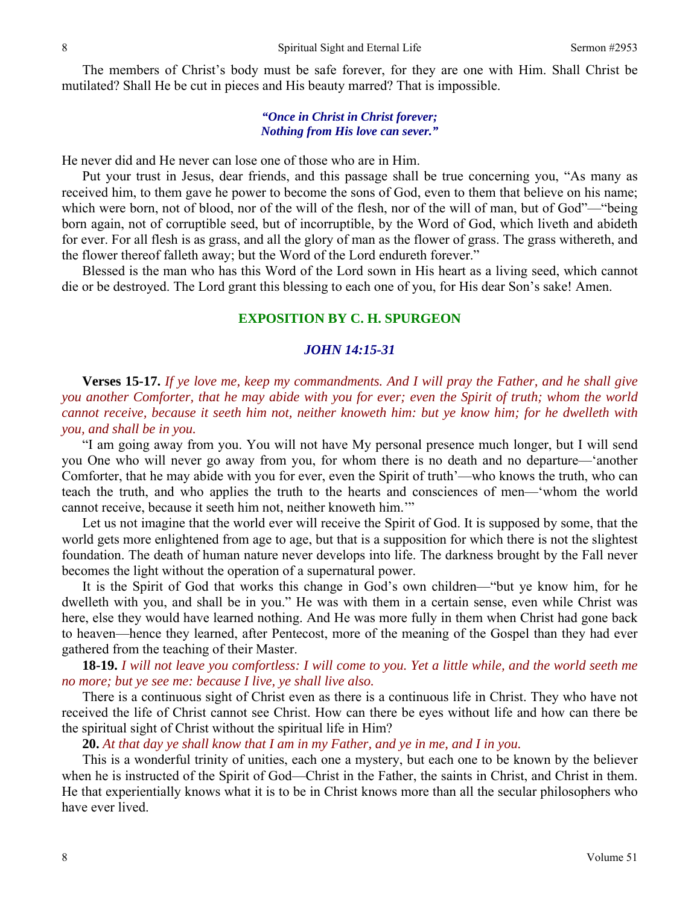The members of Christ's body must be safe forever, for they are one with Him. Shall Christ be mutilated? Shall He be cut in pieces and His beauty marred? That is impossible.

#### *"Once in Christ in Christ forever; Nothing from His love can sever."*

He never did and He never can lose one of those who are in Him.

 Put your trust in Jesus, dear friends, and this passage shall be true concerning you, "As many as received him, to them gave he power to become the sons of God, even to them that believe on his name; which were born, not of blood, nor of the will of the flesh, nor of the will of man, but of God"—"being born again, not of corruptible seed, but of incorruptible, by the Word of God, which liveth and abideth for ever. For all flesh is as grass, and all the glory of man as the flower of grass. The grass withereth, and the flower thereof falleth away; but the Word of the Lord endureth forever."

 Blessed is the man who has this Word of the Lord sown in His heart as a living seed, which cannot die or be destroyed. The Lord grant this blessing to each one of you, for His dear Son's sake! Amen.

#### **EXPOSITION BY C. H. SPURGEON**

#### *JOHN 14:15-31*

**Verses 15-17.** *If ye love me, keep my commandments. And I will pray the Father, and he shall give you another Comforter, that he may abide with you for ever; even the Spirit of truth; whom the world cannot receive, because it seeth him not, neither knoweth him: but ye know him; for he dwelleth with you, and shall be in you.* 

"I am going away from you. You will not have My personal presence much longer, but I will send you One who will never go away from you, for whom there is no death and no departure—'another Comforter, that he may abide with you for ever, even the Spirit of truth'—who knows the truth, who can teach the truth, and who applies the truth to the hearts and consciences of men—'whom the world cannot receive, because it seeth him not, neither knoweth him.'"

 Let us not imagine that the world ever will receive the Spirit of God. It is supposed by some, that the world gets more enlightened from age to age, but that is a supposition for which there is not the slightest foundation. The death of human nature never develops into life. The darkness brought by the Fall never becomes the light without the operation of a supernatural power.

 It is the Spirit of God that works this change in God's own children—"but ye know him, for he dwelleth with you, and shall be in you." He was with them in a certain sense, even while Christ was here, else they would have learned nothing. And He was more fully in them when Christ had gone back to heaven—hence they learned, after Pentecost, more of the meaning of the Gospel than they had ever gathered from the teaching of their Master.

**18-19.** *I will not leave you comfortless: I will come to you. Yet a little while, and the world seeth me no more; but ye see me: because I live, ye shall live also.* 

There is a continuous sight of Christ even as there is a continuous life in Christ. They who have not received the life of Christ cannot see Christ. How can there be eyes without life and how can there be the spiritual sight of Christ without the spiritual life in Him?

**20.** *At that day ye shall know that I am in my Father, and ye in me, and I in you.* 

This is a wonderful trinity of unities, each one a mystery, but each one to be known by the believer when he is instructed of the Spirit of God—Christ in the Father, the saints in Christ, and Christ in them. He that experientially knows what it is to be in Christ knows more than all the secular philosophers who have ever lived.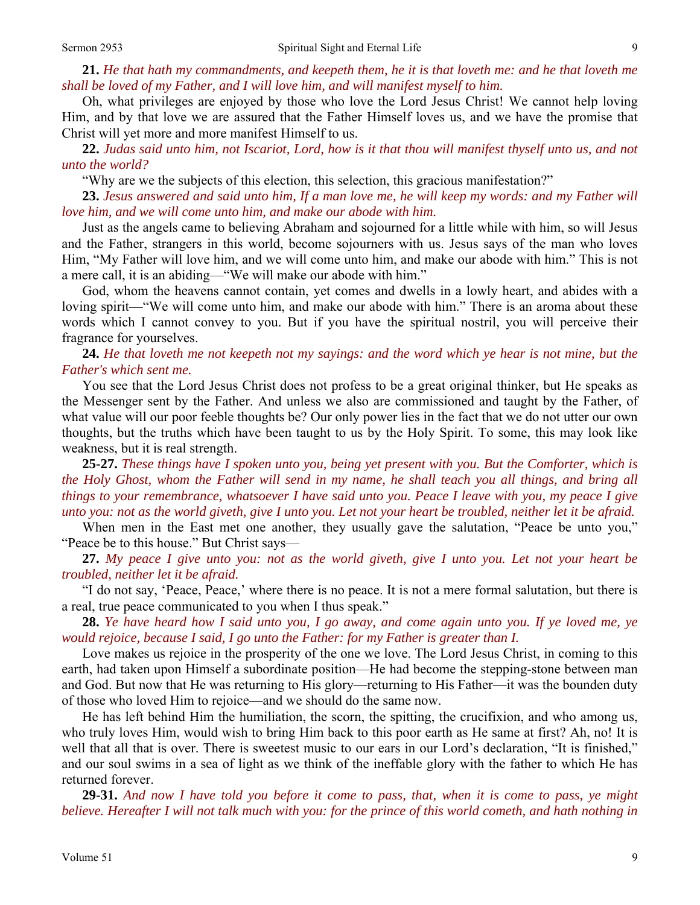**21.** *He that hath my commandments, and keepeth them, he it is that loveth me: and he that loveth me shall be loved of my Father, and I will love him, and will manifest myself to him.* 

Oh, what privileges are enjoyed by those who love the Lord Jesus Christ! We cannot help loving Him, and by that love we are assured that the Father Himself loves us, and we have the promise that Christ will yet more and more manifest Himself to us.

**22.** *Judas said unto him, not Iscariot, Lord, how is it that thou will manifest thyself unto us, and not unto the world?* 

"Why are we the subjects of this election, this selection, this gracious manifestation?"

**23.** *Jesus answered and said unto him, If a man love me, he will keep my words: and my Father will love him, and we will come unto him, and make our abode with him.* 

Just as the angels came to believing Abraham and sojourned for a little while with him, so will Jesus and the Father, strangers in this world, become sojourners with us. Jesus says of the man who loves Him, "My Father will love him, and we will come unto him, and make our abode with him." This is not a mere call, it is an abiding—"We will make our abode with him."

 God, whom the heavens cannot contain, yet comes and dwells in a lowly heart, and abides with a loving spirit—"We will come unto him, and make our abode with him." There is an aroma about these words which I cannot convey to you. But if you have the spiritual nostril, you will perceive their fragrance for yourselves.

### **24.** *He that loveth me not keepeth not my sayings: and the word which ye hear is not mine, but the Father's which sent me.*

You see that the Lord Jesus Christ does not profess to be a great original thinker, but He speaks as the Messenger sent by the Father. And unless we also are commissioned and taught by the Father, of what value will our poor feeble thoughts be? Our only power lies in the fact that we do not utter our own thoughts, but the truths which have been taught to us by the Holy Spirit. To some, this may look like weakness, but it is real strength.

**25-27.** *These things have I spoken unto you, being yet present with you. But the Comforter, which is the Holy Ghost, whom the Father will send in my name, he shall teach you all things, and bring all things to your remembrance, whatsoever I have said unto you. Peace I leave with you, my peace I give unto you: not as the world giveth, give I unto you. Let not your heart be troubled, neither let it be afraid.* 

When men in the East met one another, they usually gave the salutation, "Peace be unto you," "Peace be to this house." But Christ says—

**27.** *My peace I give unto you: not as the world giveth, give I unto you. Let not your heart be troubled, neither let it be afraid.* 

"I do not say, 'Peace, Peace,' where there is no peace. It is not a mere formal salutation, but there is a real, true peace communicated to you when I thus speak."

**28.** *Ye have heard how I said unto you, I go away, and come again unto you. If ye loved me, ye would rejoice, because I said, I go unto the Father: for my Father is greater than I.* 

Love makes us rejoice in the prosperity of the one we love. The Lord Jesus Christ, in coming to this earth, had taken upon Himself a subordinate position—He had become the stepping-stone between man and God. But now that He was returning to His glory—returning to His Father—it was the bounden duty of those who loved Him to rejoice—and we should do the same now.

 He has left behind Him the humiliation, the scorn, the spitting, the crucifixion, and who among us, who truly loves Him, would wish to bring Him back to this poor earth as He same at first? Ah, no! It is well that all that is over. There is sweetest music to our ears in our Lord's declaration, "It is finished," and our soul swims in a sea of light as we think of the ineffable glory with the father to which He has returned forever.

 **29-31.** *And now I have told you before it come to pass, that, when it is come to pass, ye might believe. Hereafter I will not talk much with you: for the prince of this world cometh, and hath nothing in*